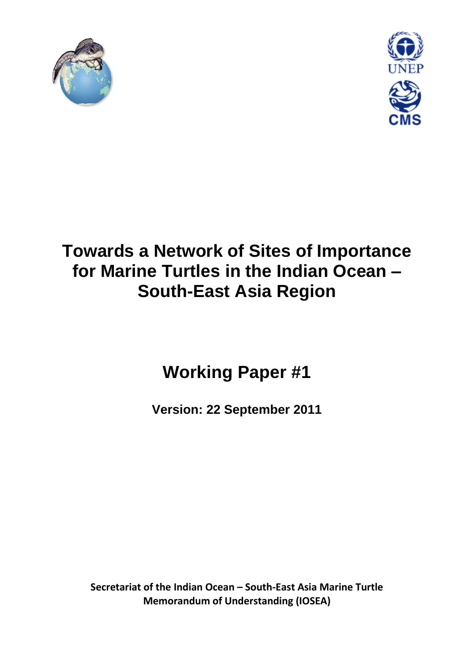



## **Towards a Network of Sites of Importance for Marine Turtles in the Indian Ocean – South-East Asia Region**

# **Working Paper #1**

**Version: 22 September 2011**

**Secretariat of the Indian Ocean – South-East Asia Marine Turtle Memorandum of Understanding (IOSEA)**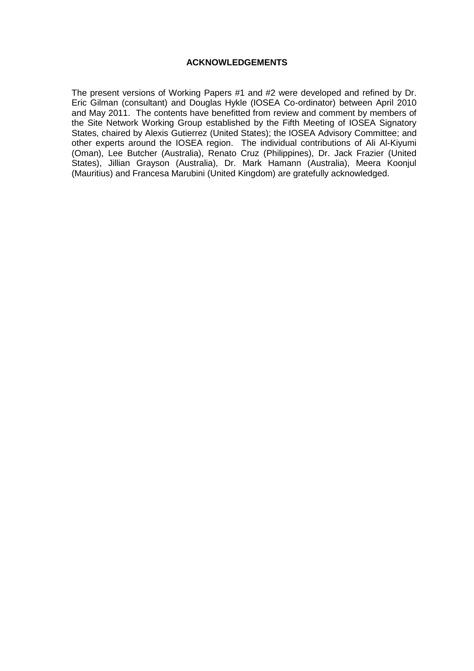#### **ACKNOWLEDGEMENTS**

The present versions of Working Papers #1 and #2 were developed and refined by Dr. Eric Gilman (consultant) and Douglas Hykle (IOSEA Co-ordinator) between April 2010 and May 2011. The contents have benefitted from review and comment by members of the Site Network Working Group established by the Fifth Meeting of IOSEA Signatory States, chaired by Alexis Gutierrez (United States); the IOSEA Advisory Committee; and other experts around the IOSEA region. The individual contributions of Ali Al-Kiyumi (Oman), Lee Butcher (Australia), Renato Cruz (Philippines), Dr. Jack Frazier (United States), Jillian Grayson (Australia), Dr. Mark Hamann (Australia), Meera Koonjul (Mauritius) and Francesa Marubini (United Kingdom) are gratefully acknowledged.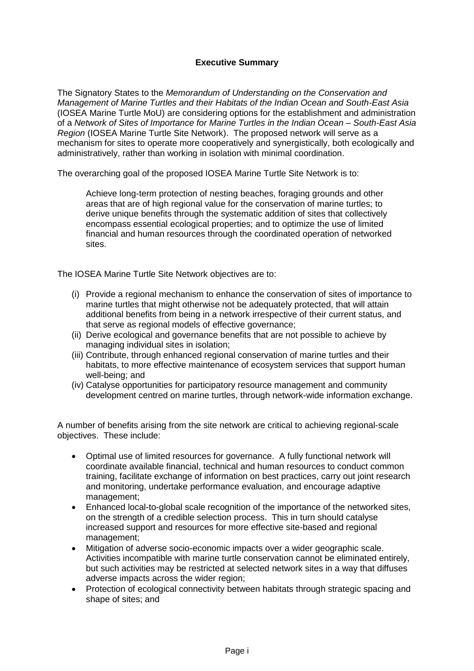## **Executive Summary**

The Signatory States to the *Memorandum of Understanding on the Conservation and Management of Marine Turtles and their Habitats of the Indian Ocean and South-East Asia*  (IOSEA Marine Turtle MoU) are considering options for the establishment and administration of a *Network of Sites of Importance for Marine Turtles in the Indian Ocean – South-East Asia Region* (IOSEA Marine Turtle Site Network). The proposed network will serve as a mechanism for sites to operate more cooperatively and synergistically, both ecologically and administratively, rather than working in isolation with minimal coordination.

The overarching goal of the proposed IOSEA Marine Turtle Site Network is to:

Achieve long-term protection of nesting beaches, foraging grounds and other areas that are of high regional value for the conservation of marine turtles; to derive unique benefits through the systematic addition of sites that collectively encompass essential ecological properties; and to optimize the use of limited financial and human resources through the coordinated operation of networked sites.

The IOSEA Marine Turtle Site Network objectives are to:

- (i) Provide a regional mechanism to enhance the conservation of sites of importance to marine turtles that might otherwise not be adequately protected, that will attain additional benefits from being in a network irrespective of their current status, and that serve as regional models of effective governance;
- (ii) Derive ecological and governance benefits that are not possible to achieve by managing individual sites in isolation;
- (iii) Contribute, through enhanced regional conservation of marine turtles and their habitats, to more effective maintenance of ecosystem services that support human well-being; and
- (iv) Catalyse opportunities for participatory resource management and community development centred on marine turtles, through network-wide information exchange.

A number of benefits arising from the site network are critical to achieving regional-scale objectives. These include:

- Optimal use of limited resources for governance. A fully functional network will coordinate available financial, technical and human resources to conduct common training, facilitate exchange of information on best practices, carry out joint research and monitoring, undertake performance evaluation, and encourage adaptive management;
- Enhanced local-to-global scale recognition of the importance of the networked sites, on the strength of a credible selection process. This in turn should catalyse increased support and resources for more effective site-based and regional management;
- Mitigation of adverse socio-economic impacts over a wider geographic scale. Activities incompatible with marine turtle conservation cannot be eliminated entirely, but such activities may be restricted at selected network sites in a way that diffuses adverse impacts across the wider region;
- Protection of ecological connectivity between habitats through strategic spacing and shape of sites; and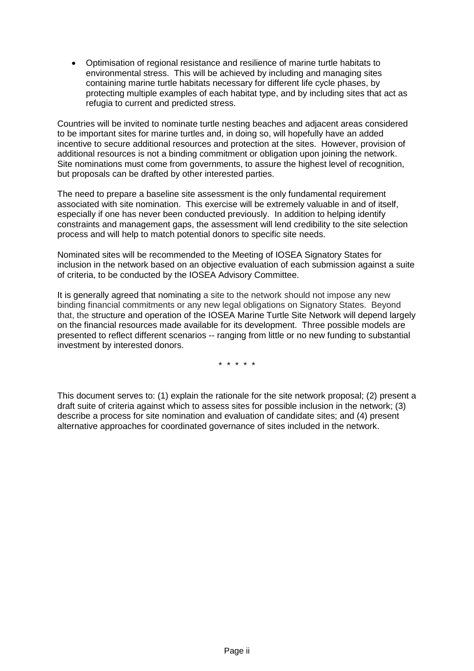Optimisation of regional resistance and resilience of marine turtle habitats to environmental stress. This will be achieved by including and managing sites containing marine turtle habitats necessary for different life cycle phases, by protecting multiple examples of each habitat type, and by including sites that act as refugia to current and predicted stress.

Countries will be invited to nominate turtle nesting beaches and adjacent areas considered to be important sites for marine turtles and, in doing so, will hopefully have an added incentive to secure additional resources and protection at the sites. However, provision of additional resources is not a binding commitment or obligation upon joining the network. Site nominations must come from governments, to assure the highest level of recognition, but proposals can be drafted by other interested parties.

The need to prepare a baseline site assessment is the only fundamental requirement associated with site nomination. This exercise will be extremely valuable in and of itself, especially if one has never been conducted previously. In addition to helping identify constraints and management gaps, the assessment will lend credibility to the site selection process and will help to match potential donors to specific site needs.

Nominated sites will be recommended to the Meeting of IOSEA Signatory States for inclusion in the network based on an objective evaluation of each submission against a suite of criteria, to be conducted by the IOSEA Advisory Committee.

It is generally agreed that nominating a site to the network should not impose any new binding financial commitments or any new legal obligations on Signatory States. Beyond that, the structure and operation of the IOSEA Marine Turtle Site Network will depend largely on the financial resources made available for its development. Three possible models are presented to reflect different scenarios -- ranging from little or no new funding to substantial investment by interested donors.

\* \* \* \* \*

This document serves to: (1) explain the rationale for the site network proposal; (2) present a draft suite of criteria against which to assess sites for possible inclusion in the network; (3) describe a process for site nomination and evaluation of candidate sites; and (4) present alternative approaches for coordinated governance of sites included in the network.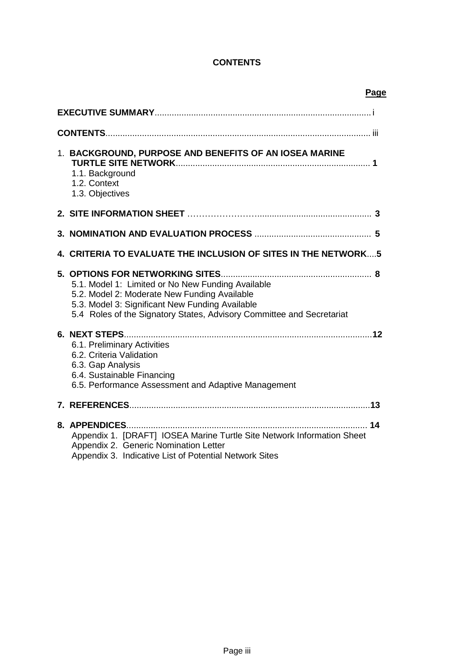## **CONTENTS**

| Page                                                                                                                                                                                                                          |
|-------------------------------------------------------------------------------------------------------------------------------------------------------------------------------------------------------------------------------|
|                                                                                                                                                                                                                               |
|                                                                                                                                                                                                                               |
| 1. BACKGROUND, PURPOSE AND BENEFITS OF AN IOSEA MARINE<br>1.1. Background<br>1.2. Context<br>1.3. Objectives                                                                                                                  |
|                                                                                                                                                                                                                               |
|                                                                                                                                                                                                                               |
| <b>4. CRITERIA TO EVALUATE THE INCLUSION OF SITES IN THE NETWORK5</b>                                                                                                                                                         |
| 5.1. Model 1: Limited or No New Funding Available<br>5.2. Model 2: Moderate New Funding Available<br>5.3. Model 3: Significant New Funding Available<br>5.4 Roles of the Signatory States, Advisory Committee and Secretariat |
| 6.1. Preliminary Activities<br>6.2. Criteria Validation<br>6.3. Gap Analysis<br>6.4. Sustainable Financing<br>6.5. Performance Assessment and Adaptive Management                                                             |
|                                                                                                                                                                                                                               |
| Appendix 1. [DRAFT] IOSEA Marine Turtle Site Network Information Sheet<br>Appendix 2. Generic Nomination Letter<br>Appendix 3. Indicative List of Potential Network Sites                                                     |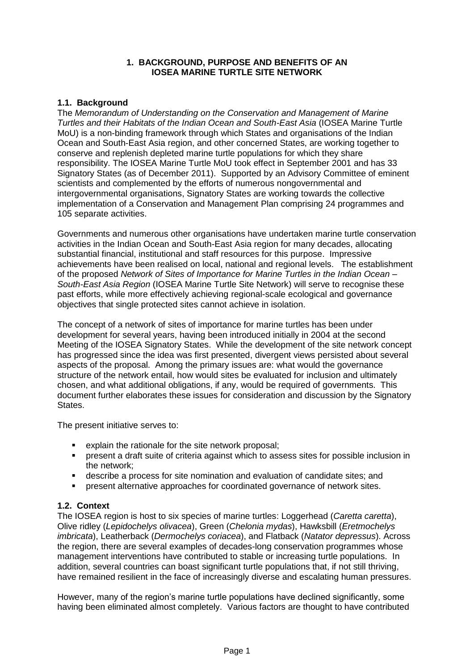#### **1. BACKGROUND, PURPOSE AND BENEFITS OF AN IOSEA MARINE TURTLE SITE NETWORK**

#### **1.1. Background**

The *Memorandum of Understanding on the Conservation and Management of Marine Turtles and their Habitats of the Indian Ocean and South-East Asia* (IOSEA Marine Turtle MoU) is a non-binding framework through which States and organisations of the Indian Ocean and South-East Asia region, and other concerned States, are working together to conserve and replenish depleted marine turtle populations for which they share responsibility. The IOSEA Marine Turtle MoU took effect in September 2001 and has 33 Signatory States (as of December 2011). Supported by an Advisory Committee of eminent scientists and complemented by the efforts of numerous nongovernmental and intergovernmental organisations, Signatory States are working towards the collective implementation of a Conservation and Management Plan comprising 24 programmes and 105 separate activities.

Governments and numerous other organisations have undertaken marine turtle conservation activities in the Indian Ocean and South-East Asia region for many decades, allocating substantial financial, institutional and staff resources for this purpose. Impressive achievements have been realised on local, national and regional levels. The establishment of the proposed *Network of Sites of Importance for Marine Turtles in the Indian Ocean – South-East Asia Region* (IOSEA Marine Turtle Site Network) will serve to recognise these past efforts, while more effectively achieving regional-scale ecological and governance objectives that single protected sites cannot achieve in isolation.

The concept of a network of sites of importance for marine turtles has been under development for several years, having been introduced initially in 2004 at the second Meeting of the IOSEA Signatory States. While the development of the site network concept has progressed since the idea was first presented, divergent views persisted about several aspects of the proposal. Among the primary issues are: what would the governance structure of the network entail, how would sites be evaluated for inclusion and ultimately chosen, and what additional obligations, if any, would be required of governments. This document further elaborates these issues for consideration and discussion by the Signatory States.

The present initiative serves to:

- explain the rationale for the site network proposal;
- present a draft suite of criteria against which to assess sites for possible inclusion in the network;
- describe a process for site nomination and evaluation of candidate sites; and
- present alternative approaches for coordinated governance of network sites.

#### **1.2. Context**

The IOSEA region is host to six species of marine turtles: Loggerhead (*Caretta caretta*), Olive ridley (*Lepidochelys olivacea*), Green (*Chelonia mydas*), Hawksbill (*Eretmochelys imbricata*), Leatherback (*Dermochelys coriacea*), and Flatback (*Natator depressus*). Across the region, there are several examples of decades-long conservation programmes whose management interventions have contributed to stable or increasing turtle populations. In addition, several countries can boast significant turtle populations that, if not still thriving, have remained resilient in the face of increasingly diverse and escalating human pressures.

However, many of the region's marine turtle populations have declined significantly, some having been eliminated almost completely. Various factors are thought to have contributed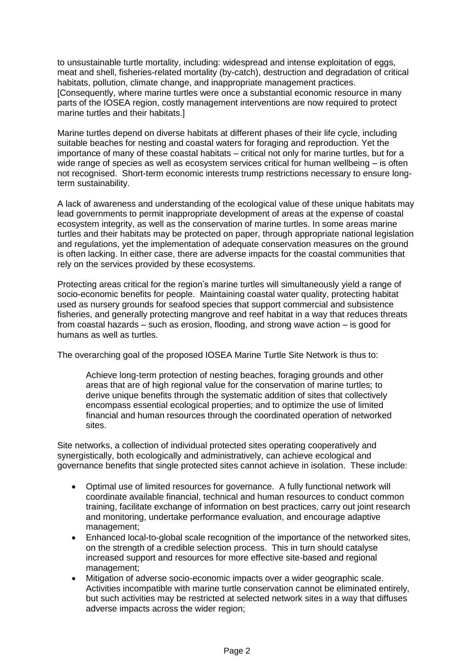to unsustainable turtle mortality, including: widespread and intense exploitation of eggs, meat and shell, fisheries-related mortality (by-catch), destruction and degradation of critical habitats, pollution, climate change, and inappropriate management practices. [Consequently, where marine turtles were once a substantial economic resource in many parts of the IOSEA region, costly management interventions are now required to protect marine turtles and their habitats.]

Marine turtles depend on diverse habitats at different phases of their life cycle, including suitable beaches for nesting and coastal waters for foraging and reproduction. Yet the importance of many of these coastal habitats – critical not only for marine turtles, but for a wide range of species as well as ecosystem services critical for human wellbeing – is often not recognised. Short-term economic interests trump restrictions necessary to ensure longterm sustainability.

A lack of awareness and understanding of the ecological value of these unique habitats may lead governments to permit inappropriate development of areas at the expense of coastal ecosystem integrity, as well as the conservation of marine turtles. In some areas marine turtles and their habitats may be protected on paper, through appropriate national legislation and regulations, yet the implementation of adequate conservation measures on the ground is often lacking. In either case, there are adverse impacts for the coastal communities that rely on the services provided by these ecosystems.

Protecting areas critical for the region's marine turtles will simultaneously yield a range of socio-economic benefits for people. Maintaining coastal water quality, protecting habitat used as nursery grounds for seafood species that support commercial and subsistence fisheries, and generally protecting mangrove and reef habitat in a way that reduces threats from coastal hazards – such as erosion, flooding, and strong wave action – is good for humans as well as turtles.

The overarching goal of the proposed IOSEA Marine Turtle Site Network is thus to:

Achieve long-term protection of nesting beaches, foraging grounds and other areas that are of high regional value for the conservation of marine turtles; to derive unique benefits through the systematic addition of sites that collectively encompass essential ecological properties; and to optimize the use of limited financial and human resources through the coordinated operation of networked sites.

Site networks, a collection of individual protected sites operating cooperatively and synergistically, both ecologically and administratively, can achieve ecological and governance benefits that single protected sites cannot achieve in isolation. These include:

- Optimal use of limited resources for governance. A fully functional network will coordinate available financial, technical and human resources to conduct common training, facilitate exchange of information on best practices, carry out joint research and monitoring, undertake performance evaluation, and encourage adaptive management;
- Enhanced local-to-global scale recognition of the importance of the networked sites, on the strength of a credible selection process. This in turn should catalyse increased support and resources for more effective site-based and regional management;
- Mitigation of adverse socio-economic impacts over a wider geographic scale. Activities incompatible with marine turtle conservation cannot be eliminated entirely, but such activities may be restricted at selected network sites in a way that diffuses adverse impacts across the wider region;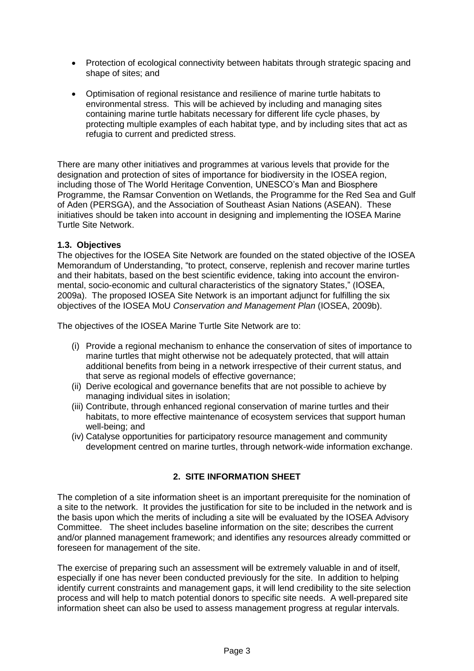- Protection of ecological connectivity between habitats through strategic spacing and shape of sites; and
- Optimisation of regional resistance and resilience of marine turtle habitats to environmental stress. This will be achieved by including and managing sites containing marine turtle habitats necessary for different life cycle phases, by protecting multiple examples of each habitat type, and by including sites that act as refugia to current and predicted stress.

There are many other initiatives and programmes at various levels that provide for the designation and protection of sites of importance for biodiversity in the IOSEA region, including those of The World Heritage Convention, UNESCO's Man and Biosphere Programme, the Ramsar Convention on Wetlands, the Programme for the Red Sea and Gulf of Aden (PERSGA), and the Association of Southeast Asian Nations (ASEAN). These initiatives should be taken into account in designing and implementing the IOSEA Marine Turtle Site Network.

#### **1.3. Objectives**

The objectives for the IOSEA Site Network are founded on the stated objective of the IOSEA Memorandum of Understanding, "to protect, conserve, replenish and recover marine turtles and their habitats, based on the best scientific evidence, taking into account the environmental, socio-economic and cultural characteristics of the signatory States," (IOSEA, 2009a). The proposed IOSEA Site Network is an important adjunct for fulfilling the six objectives of the IOSEA MoU *Conservation and Management Plan* (IOSEA, 2009b).

The objectives of the IOSEA Marine Turtle Site Network are to:

- (i) Provide a regional mechanism to enhance the conservation of sites of importance to marine turtles that might otherwise not be adequately protected, that will attain additional benefits from being in a network irrespective of their current status, and that serve as regional models of effective governance;
- (ii) Derive ecological and governance benefits that are not possible to achieve by managing individual sites in isolation;
- (iii) Contribute, through enhanced regional conservation of marine turtles and their habitats, to more effective maintenance of ecosystem services that support human well-being; and
- (iv) Catalyse opportunities for participatory resource management and community development centred on marine turtles, through network-wide information exchange.

## **2. SITE INFORMATION SHEET**

The completion of a site information sheet is an important prerequisite for the nomination of a site to the network. It provides the justification for site to be included in the network and is the basis upon which the merits of including a site will be evaluated by the IOSEA Advisory Committee. The sheet includes baseline information on the site; describes the current and/or planned management framework; and identifies any resources already committed or foreseen for management of the site.

The exercise of preparing such an assessment will be extremely valuable in and of itself, especially if one has never been conducted previously for the site. In addition to helping identify current constraints and management gaps, it will lend credibility to the site selection process and will help to match potential donors to specific site needs. A well-prepared site information sheet can also be used to assess management progress at regular intervals.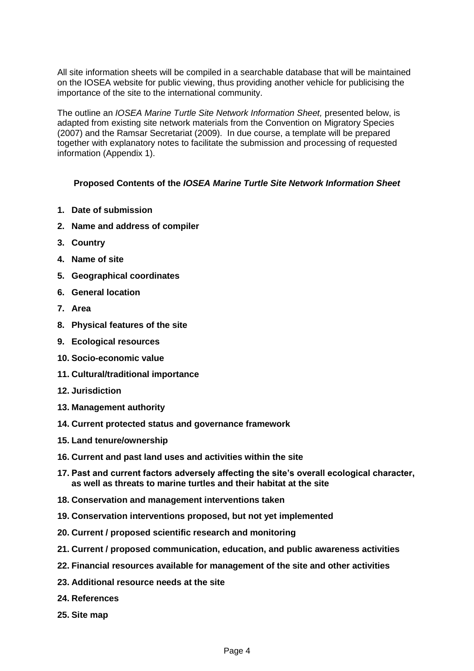All site information sheets will be compiled in a searchable database that will be maintained on the IOSEA website for public viewing, thus providing another vehicle for publicising the importance of the site to the international community.

The outline an *IOSEA Marine Turtle Site Network Information Sheet,* presented below, is adapted from existing site network materials from the Convention on Migratory Species (2007) and the Ramsar Secretariat (2009). In due course, a template will be prepared together with explanatory notes to facilitate the submission and processing of requested information (Appendix 1).

#### **Proposed Contents of the** *IOSEA Marine Turtle Site Network Information Sheet*

- **1. Date of submission**
- **2. Name and address of compiler**
- **3. Country**
- **4. Name of site**
- **5. Geographical coordinates**
- **6. General location**
- **7. Area**
- **8. Physical features of the site**
- **9. Ecological resources**
- **10. Socio-economic value**
- **11. Cultural/traditional importance**
- **12. Jurisdiction**
- **13. Management authority**
- **14. Current protected status and governance framework**
- **15. Land tenure/ownership**
- **16. Current and past land uses and activities within the site**
- **17. Past and current factors adversely affecting the site's overall ecological character, as well as threats to marine turtles and their habitat at the site**
- **18. Conservation and management interventions taken**
- **19. Conservation interventions proposed, but not yet implemented**
- **20. Current / proposed scientific research and monitoring**
- **21. Current / proposed communication, education, and public awareness activities**
- **22. Financial resources available for management of the site and other activities**
- **23. Additional resource needs at the site**
- **24. References**
- **25. Site map**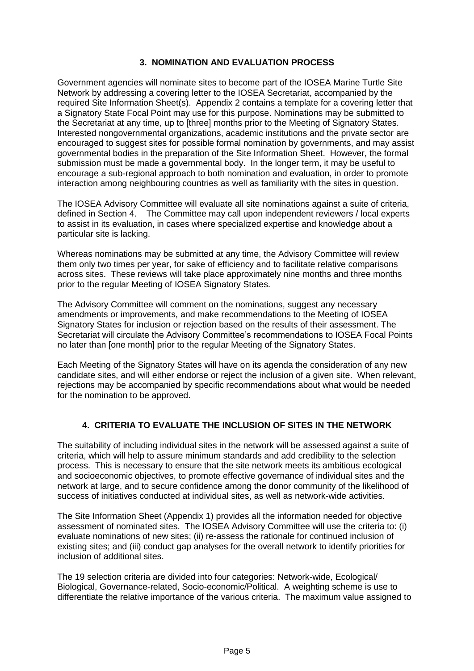#### **3. NOMINATION AND EVALUATION PROCESS**

Government agencies will nominate sites to become part of the IOSEA Marine Turtle Site Network by addressing a covering letter to the IOSEA Secretariat, accompanied by the required Site Information Sheet(s). Appendix 2 contains a template for a covering letter that a Signatory State Focal Point may use for this purpose. Nominations may be submitted to the Secretariat at any time, up to [three] months prior to the Meeting of Signatory States. Interested nongovernmental organizations, academic institutions and the private sector are encouraged to suggest sites for possible formal nomination by governments, and may assist governmental bodies in the preparation of the Site Information Sheet. However, the formal submission must be made a governmental body. In the longer term, it may be useful to encourage a sub-regional approach to both nomination and evaluation, in order to promote interaction among neighbouring countries as well as familiarity with the sites in question.

The IOSEA Advisory Committee will evaluate all site nominations against a suite of criteria, defined in Section 4. The Committee may call upon independent reviewers / local experts to assist in its evaluation, in cases where specialized expertise and knowledge about a particular site is lacking.

Whereas nominations may be submitted at any time, the Advisory Committee will review them only two times per year, for sake of efficiency and to facilitate relative comparisons across sites. These reviews will take place approximately nine months and three months prior to the regular Meeting of IOSEA Signatory States.

The Advisory Committee will comment on the nominations, suggest any necessary amendments or improvements, and make recommendations to the Meeting of IOSEA Signatory States for inclusion or rejection based on the results of their assessment. The Secretariat will circulate the Advisory Committee's recommendations to IOSEA Focal Points no later than [one month] prior to the regular Meeting of the Signatory States.

Each Meeting of the Signatory States will have on its agenda the consideration of any new candidate sites, and will either endorse or reject the inclusion of a given site. When relevant, rejections may be accompanied by specific recommendations about what would be needed for the nomination to be approved.

## **4. CRITERIA TO EVALUATE THE INCLUSION OF SITES IN THE NETWORK**

The suitability of including individual sites in the network will be assessed against a suite of criteria, which will help to assure minimum standards and add credibility to the selection process. This is necessary to ensure that the site network meets its ambitious ecological and socioeconomic objectives, to promote effective governance of individual sites and the network at large, and to secure confidence among the donor community of the likelihood of success of initiatives conducted at individual sites, as well as network-wide activities.

The Site Information Sheet (Appendix 1) provides all the information needed for objective assessment of nominated sites. The IOSEA Advisory Committee will use the criteria to: (i) evaluate nominations of new sites; (ii) re-assess the rationale for continued inclusion of existing sites; and (iii) conduct gap analyses for the overall network to identify priorities for inclusion of additional sites.

The 19 selection criteria are divided into four categories: Network-wide, Ecological/ Biological, Governance-related, Socio-economic/Political. A weighting scheme is use to differentiate the relative importance of the various criteria. The maximum value assigned to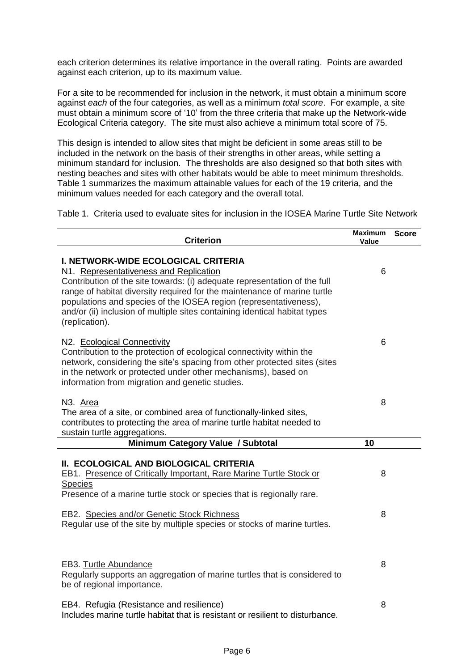each criterion determines its relative importance in the overall rating. Points are awarded against each criterion, up to its maximum value.

For a site to be recommended for inclusion in the network, it must obtain a minimum score against *each* of the four categories, as well as a minimum *total score*. For example, a site must obtain a minimum score of '10' from the three criteria that make up the Network-wide Ecological Criteria category. The site must also achieve a minimum total score of 75.

This design is intended to allow sites that might be deficient in some areas still to be included in the network on the basis of their strengths in other areas, while setting a minimum standard for inclusion. The thresholds are also designed so that both sites with nesting beaches and sites with other habitats would be able to meet minimum thresholds. Table 1 summarizes the maximum attainable values for each of the 19 criteria, and the minimum values needed for each category and the overall total.

Table 1. Criteria used to evaluate sites for inclusion in the IOSEA Marine Turtle Site Network

| <b>Criterion</b>                                                                                                                                                                                                                                                                                                                                                                                                   | <b>Maximum</b><br>Value | <b>Score</b> |
|--------------------------------------------------------------------------------------------------------------------------------------------------------------------------------------------------------------------------------------------------------------------------------------------------------------------------------------------------------------------------------------------------------------------|-------------------------|--------------|
| <b>I. NETWORK-WIDE ECOLOGICAL CRITERIA</b><br>N1. Representativeness and Replication<br>Contribution of the site towards: (i) adequate representation of the full<br>range of habitat diversity required for the maintenance of marine turtle<br>populations and species of the IOSEA region (representativeness),<br>and/or (ii) inclusion of multiple sites containing identical habitat types<br>(replication). | 6                       |              |
| N2. Ecological Connectivity<br>Contribution to the protection of ecological connectivity within the<br>network, considering the site's spacing from other protected sites (sites<br>in the network or protected under other mechanisms), based on<br>information from migration and genetic studies.                                                                                                               | 6                       |              |
| N <sub>3</sub> . Area<br>The area of a site, or combined area of functionally-linked sites,<br>contributes to protecting the area of marine turtle habitat needed to<br>sustain turtle aggregations.                                                                                                                                                                                                               | 8                       |              |
| Minimum Category Value / Subtotal                                                                                                                                                                                                                                                                                                                                                                                  | 10                      |              |
| II. ECOLOGICAL AND BIOLOGICAL CRITERIA<br>EB1. Presence of Critically Important, Rare Marine Turtle Stock or<br><b>Species</b><br>Presence of a marine turtle stock or species that is regionally rare.                                                                                                                                                                                                            | 8                       |              |
| EB2. Species and/or Genetic Stock Richness<br>Regular use of the site by multiple species or stocks of marine turtles.                                                                                                                                                                                                                                                                                             | 8                       |              |
| EB3. Turtle Abundance<br>Regularly supports an aggregation of marine turtles that is considered to<br>be of regional importance.                                                                                                                                                                                                                                                                                   | 8                       |              |
| EB4. Refugia (Resistance and resilience)<br>Includes marine turtle habitat that is resistant or resilient to disturbance                                                                                                                                                                                                                                                                                           | 8                       |              |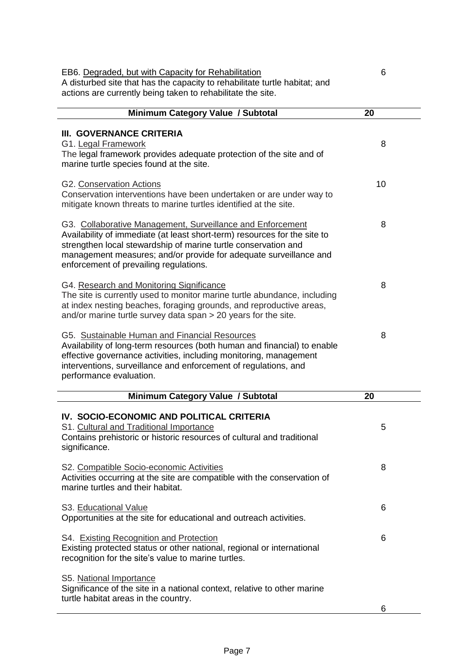| EB6. Degraded, but with Capacity for Rehabilitation<br>A disturbed site that has the capacity to rehabilitate turtle habitat; and<br>actions are currently being taken to rehabilitate the site.                                                                                                                         | 6  |
|--------------------------------------------------------------------------------------------------------------------------------------------------------------------------------------------------------------------------------------------------------------------------------------------------------------------------|----|
| Minimum Category Value / Subtotal                                                                                                                                                                                                                                                                                        | 20 |
|                                                                                                                                                                                                                                                                                                                          |    |
| III. GOVERNANCE CRITERIA<br>G1. Legal Framework<br>The legal framework provides adequate protection of the site and of<br>marine turtle species found at the site.                                                                                                                                                       | 8  |
| G2. Conservation Actions<br>Conservation interventions have been undertaken or are under way to<br>mitigate known threats to marine turtles identified at the site.                                                                                                                                                      | 10 |
| G3. Collaborative Management, Surveillance and Enforcement<br>Availability of immediate (at least short-term) resources for the site to<br>strengthen local stewardship of marine turtle conservation and<br>management measures; and/or provide for adequate surveillance and<br>enforcement of prevailing regulations. | 8  |
| G4. Research and Monitoring Significance<br>The site is currently used to monitor marine turtle abundance, including<br>at index nesting beaches, foraging grounds, and reproductive areas,<br>and/or marine turtle survey data span > 20 years for the site.                                                            | 8  |
| G5. Sustainable Human and Financial Resources<br>Availability of long-term resources (both human and financial) to enable<br>effective governance activities, including monitoring, management<br>interventions, surveillance and enforcement of regulations, and<br>performance evaluation.                             | 8  |
| Minimum Category Value / Subtotal                                                                                                                                                                                                                                                                                        | 20 |
| IV. SOCIO-ECONOMIC AND POLITICAL CRITERIA<br>S1. Cultural and Traditional Importance<br>Contains prehistoric or historic resources of cultural and traditional<br>significance.                                                                                                                                          | 5  |
| S2. Compatible Socio-economic Activities<br>Activities occurring at the site are compatible with the conservation of<br>marine turtles and their habitat.                                                                                                                                                                | 8  |
| S3. Educational Value<br>Opportunities at the site for educational and outreach activities.                                                                                                                                                                                                                              | 6  |
| S4. Existing Recognition and Protection<br>Existing protected status or other national, regional or international<br>recognition for the site's value to marine turtles.                                                                                                                                                 | 6  |
| S5. National Importance<br>Significance of the site in a national context, relative to other marine<br>turtle habitat areas in the country.                                                                                                                                                                              |    |
|                                                                                                                                                                                                                                                                                                                          | 6  |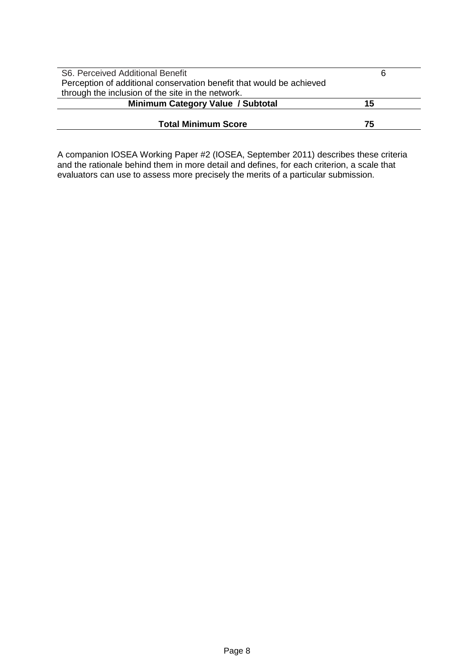| S6. Perceived Additional Benefit                                     | 6  |
|----------------------------------------------------------------------|----|
| Perception of additional conservation benefit that would be achieved |    |
| through the inclusion of the site in the network.                    |    |
| Minimum Category Value / Subtotal                                    | 15 |
|                                                                      |    |
| <b>Total Minimum Score</b>                                           | 75 |

A companion IOSEA Working Paper #2 (IOSEA, September 2011) describes these criteria and the rationale behind them in more detail and defines, for each criterion, a scale that evaluators can use to assess more precisely the merits of a particular submission.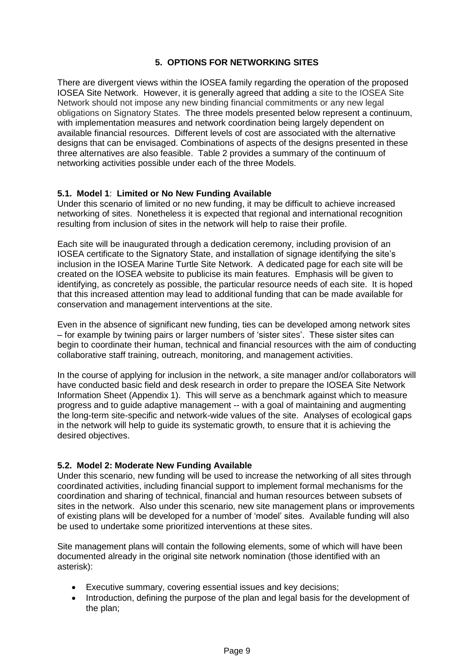## **5. OPTIONS FOR NETWORKING SITES**

There are divergent views within the IOSEA family regarding the operation of the proposed IOSEA Site Network. However, it is generally agreed that adding a site to the IOSEA Site Network should not impose any new binding financial commitments or any new legal obligations on Signatory States. The three models presented below represent a continuum, with implementation measures and network coordination being largely dependent on available financial resources. Different levels of cost are associated with the alternative designs that can be envisaged. Combinations of aspects of the designs presented in these three alternatives are also feasible. Table 2 provides a summary of the continuum of networking activities possible under each of the three Models.

#### **5.1. Model 1**: **Limited or No New Funding Available**

Under this scenario of limited or no new funding, it may be difficult to achieve increased networking of sites. Nonetheless it is expected that regional and international recognition resulting from inclusion of sites in the network will help to raise their profile.

Each site will be inaugurated through a dedication ceremony, including provision of an IOSEA certificate to the Signatory State, and installation of signage identifying the site's inclusion in the IOSEA Marine Turtle Site Network. A dedicated page for each site will be created on the IOSEA website to publicise its main features. Emphasis will be given to identifying, as concretely as possible, the particular resource needs of each site. It is hoped that this increased attention may lead to additional funding that can be made available for conservation and management interventions at the site.

Even in the absence of significant new funding, ties can be developed among network sites – for example by twining pairs or larger numbers of 'sister sites'. These sister sites can begin to coordinate their human, technical and financial resources with the aim of conducting collaborative staff training, outreach, monitoring, and management activities.

In the course of applying for inclusion in the network, a site manager and/or collaborators will have conducted basic field and desk research in order to prepare the IOSEA Site Network Information Sheet (Appendix 1). This will serve as a benchmark against which to measure progress and to guide adaptive management -- with a goal of maintaining and augmenting the long-term site-specific and network-wide values of the site. Analyses of ecological gaps in the network will help to guide its systematic growth, to ensure that it is achieving the desired objectives.

#### **5.2. Model 2: Moderate New Funding Available**

Under this scenario, new funding will be used to increase the networking of all sites through coordinated activities, including financial support to implement formal mechanisms for the coordination and sharing of technical, financial and human resources between subsets of sites in the network. Also under this scenario, new site management plans or improvements of existing plans will be developed for a number of 'model' sites. Available funding will also be used to undertake some prioritized interventions at these sites.

Site management plans will contain the following elements, some of which will have been documented already in the original site network nomination (those identified with an asterisk):

- Executive summary, covering essential issues and key decisions;
- Introduction, defining the purpose of the plan and legal basis for the development of the plan;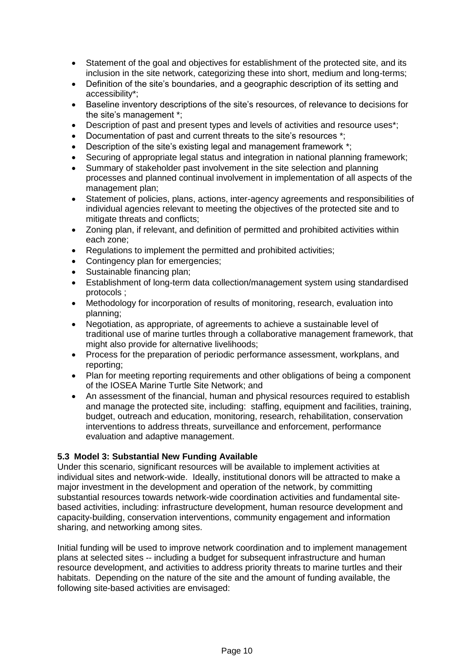- Statement of the goal and objectives for establishment of the protected site, and its inclusion in the site network, categorizing these into short, medium and long-terms;
- Definition of the site's boundaries, and a geographic description of its setting and accessibility\*;
- Baseline inventory descriptions of the site's resources, of relevance to decisions for the site's management \*;
- Description of past and present types and levels of activities and resource uses\*;
- Documentation of past and current threats to the site's resources \*:
- Description of the site's existing legal and management framework \*;
- Securing of appropriate legal status and integration in national planning framework;
- Summary of stakeholder past involvement in the site selection and planning processes and planned continual involvement in implementation of all aspects of the management plan;
- Statement of policies, plans, actions, inter-agency agreements and responsibilities of individual agencies relevant to meeting the objectives of the protected site and to mitigate threats and conflicts;
- Zoning plan, if relevant, and definition of permitted and prohibited activities within each zone;
- Regulations to implement the permitted and prohibited activities;
- Contingency plan for emergencies;
- Sustainable financing plan;
- Establishment of long-term data collection/management system using standardised protocols ;
- Methodology for incorporation of results of monitoring, research, evaluation into planning;
- Negotiation, as appropriate, of agreements to achieve a sustainable level of traditional use of marine turtles through a collaborative management framework, that might also provide for alternative livelihoods;
- Process for the preparation of periodic performance assessment, workplans, and reporting;
- Plan for meeting reporting requirements and other obligations of being a component of the IOSEA Marine Turtle Site Network; and
- An assessment of the financial, human and physical resources required to establish and manage the protected site, including: staffing, equipment and facilities, training, budget, outreach and education, monitoring, research, rehabilitation, conservation interventions to address threats, surveillance and enforcement, performance evaluation and adaptive management.

#### **5.3 Model 3: Substantial New Funding Available**

Under this scenario, significant resources will be available to implement activities at individual sites and network-wide. Ideally, institutional donors will be attracted to make a major investment in the development and operation of the network, by committing substantial resources towards network-wide coordination activities and fundamental sitebased activities, including: infrastructure development, human resource development and capacity-building, conservation interventions, community engagement and information sharing, and networking among sites.

Initial funding will be used to improve network coordination and to implement management plans at selected sites -- including a budget for subsequent infrastructure and human resource development, and activities to address priority threats to marine turtles and their habitats. Depending on the nature of the site and the amount of funding available, the following site-based activities are envisaged: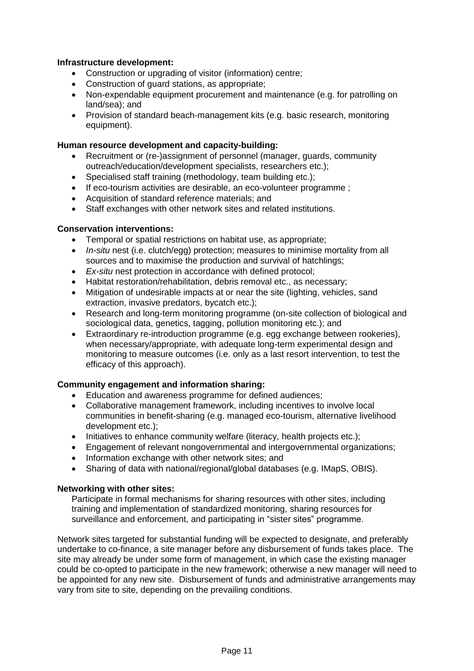#### **Infrastructure development:**

- Construction or upgrading of visitor (information) centre;
- Construction of guard stations, as appropriate;
- Non-expendable equipment procurement and maintenance (e.g. for patrolling on land/sea); and
- Provision of standard beach-management kits (e.g. basic research, monitoring equipment).

#### **Human resource development and capacity-building:**

- Recruitment or (re-)assignment of personnel (manager, guards, community outreach/education/development specialists, researchers etc.);
- Specialised staff training (methodology, team building etc.);
- If eco-tourism activities are desirable, an eco-volunteer programme ;
- Acquisition of standard reference materials: and
- Staff exchanges with other network sites and related institutions.

#### **Conservation interventions:**

- Temporal or spatial restrictions on habitat use, as appropriate;
- *In-situ* nest (i.e. clutch/egg) protection: measures to minimise mortality from all sources and to maximise the production and survival of hatchlings;
- *Ex-situ* nest protection in accordance with defined protocol;
- Habitat restoration/rehabilitation, debris removal etc., as necessary;
- Mitigation of undesirable impacts at or near the site (lighting, vehicles, sand extraction, invasive predators, bycatch etc.);
- Research and long-term monitoring programme (on-site collection of biological and sociological data, genetics, tagging, pollution monitoring etc.); and
- Extraordinary re-introduction programme (e.g. egg exchange between rookeries), when necessary/appropriate, with adequate long-term experimental design and monitoring to measure outcomes (i.e. only as a last resort intervention, to test the efficacy of this approach).

#### **Community engagement and information sharing:**

- Education and awareness programme for defined audiences;
- Collaborative management framework, including incentives to involve local communities in benefit-sharing (e.g. managed eco-tourism, alternative livelihood development etc.);
- Initiatives to enhance community welfare (literacy, health projects etc.);
- Engagement of relevant nongovernmental and intergovernmental organizations;
- Information exchange with other network sites; and
- Sharing of data with national/regional/global databases (e.g. IMapS, OBIS).

#### **Networking with other sites:**

Participate in formal mechanisms for sharing resources with other sites, including training and implementation of standardized monitoring, sharing resources for surveillance and enforcement, and participating in "sister sites" programme.

Network sites targeted for substantial funding will be expected to designate, and preferably undertake to co-finance, a site manager before any disbursement of funds takes place. The site may already be under some form of management, in which case the existing manager could be co-opted to participate in the new framework; otherwise a new manager will need to be appointed for any new site. Disbursement of funds and administrative arrangements may vary from site to site, depending on the prevailing conditions.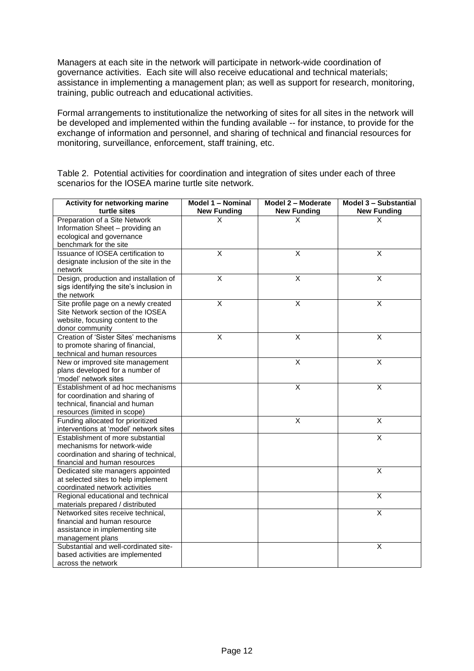Managers at each site in the network will participate in network-wide coordination of governance activities. Each site will also receive educational and technical materials; assistance in implementing a management plan; as well as support for research, monitoring, training, public outreach and educational activities.

Formal arrangements to institutionalize the networking of sites for all sites in the network will be developed and implemented within the funding available -- for instance, to provide for the exchange of information and personnel, and sharing of technical and financial resources for monitoring, surveillance, enforcement, staff training, etc.

| Activity for networking marine           | Model 1 - Nominal       | Model 2 - Moderate      | Model 3 - Substantial   |
|------------------------------------------|-------------------------|-------------------------|-------------------------|
| turtle sites                             | <b>New Funding</b>      | <b>New Funding</b>      | <b>New Funding</b>      |
| Preparation of a Site Network            | X                       | X                       | X                       |
| Information Sheet - providing an         |                         |                         |                         |
| ecological and governance                |                         |                         |                         |
| benchmark for the site                   |                         |                         |                         |
| Issuance of IOSEA certification to       | $\overline{\mathsf{x}}$ | $\overline{\mathsf{x}}$ | $\overline{\mathsf{x}}$ |
| designate inclusion of the site in the   |                         |                         |                         |
| network                                  |                         |                         |                         |
| Design, production and installation of   | X                       | X                       | X                       |
| sigs identifying the site's inclusion in |                         |                         |                         |
| the network                              |                         |                         |                         |
| Site profile page on a newly created     | $\overline{X}$          | $\overline{\mathsf{x}}$ | $\overline{X}$          |
| Site Network section of the IOSEA        |                         |                         |                         |
| website, focusing content to the         |                         |                         |                         |
| donor community                          |                         |                         |                         |
| Creation of 'Sister Sites' mechanisms    | $\overline{X}$          | $\overline{\mathsf{x}}$ | $\overline{\mathsf{x}}$ |
| to promote sharing of financial,         |                         |                         |                         |
| technical and human resources            |                         |                         |                         |
| New or improved site management          |                         | Χ                       | X                       |
| plans developed for a number of          |                         |                         |                         |
| 'model' network sites                    |                         |                         |                         |
| Establishment of ad hoc mechanisms       |                         | $\overline{\mathsf{x}}$ | $\overline{X}$          |
| for coordination and sharing of          |                         |                         |                         |
| technical, financial and human           |                         |                         |                         |
| resources (limited in scope)             |                         |                         |                         |
| Funding allocated for prioritized        |                         | $\overline{\mathsf{x}}$ | $\overline{\mathsf{x}}$ |
| interventions at 'model' network sites   |                         |                         |                         |
| Establishment of more substantial        |                         |                         | $\overline{\mathsf{x}}$ |
| mechanisms for network-wide              |                         |                         |                         |
| coordination and sharing of technical,   |                         |                         |                         |
| financial and human resources            |                         |                         |                         |
| Dedicated site managers appointed        |                         |                         | $\overline{X}$          |
| at selected sites to help implement      |                         |                         |                         |
| coordinated network activities           |                         |                         |                         |
| Regional educational and technical       |                         |                         | $\overline{\mathsf{x}}$ |
| materials prepared / distributed         |                         |                         |                         |
| Networked sites receive technical,       |                         |                         | $\overline{\mathsf{x}}$ |
| financial and human resource             |                         |                         |                         |
| assistance in implementing site          |                         |                         |                         |
| management plans                         |                         |                         |                         |
| Substantial and well-cordinated site-    |                         |                         | X                       |
| based activities are implemented         |                         |                         |                         |
| across the network                       |                         |                         |                         |

Table 2. Potential activities for coordination and integration of sites under each of three scenarios for the IOSEA marine turtle site network.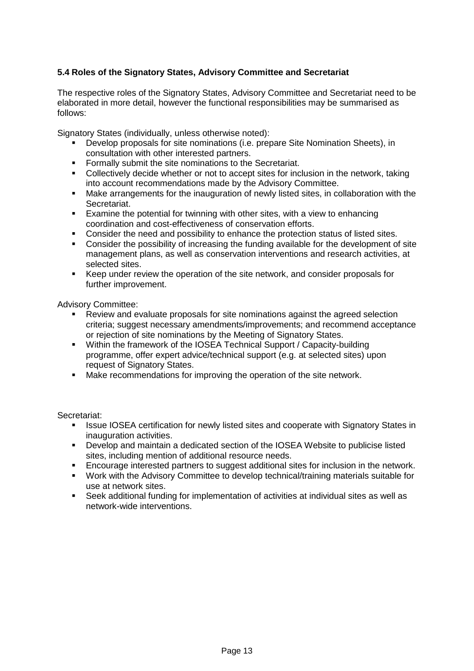## **5.4 Roles of the Signatory States, Advisory Committee and Secretariat**

The respective roles of the Signatory States, Advisory Committee and Secretariat need to be elaborated in more detail, however the functional responsibilities may be summarised as follows:

Signatory States (individually, unless otherwise noted):

- Develop proposals for site nominations (i.e. prepare Site Nomination Sheets), in consultation with other interested partners.
- **Formally submit the site nominations to the Secretariat.**
- Collectively decide whether or not to accept sites for inclusion in the network, taking into account recommendations made by the Advisory Committee.
- Make arrangements for the inauguration of newly listed sites, in collaboration with the Secretariat.
- Examine the potential for twinning with other sites, with a view to enhancing coordination and cost-effectiveness of conservation efforts.
- Consider the need and possibility to enhance the protection status of listed sites.
- Consider the possibility of increasing the funding available for the development of site management plans, as well as conservation interventions and research activities, at selected sites.
- Keep under review the operation of the site network, and consider proposals for further improvement.

Advisory Committee:

- Review and evaluate proposals for site nominations against the agreed selection criteria; suggest necessary amendments/improvements; and recommend acceptance or rejection of site nominations by the Meeting of Signatory States.
- Within the framework of the IOSEA Technical Support / Capacity-building programme, offer expert advice/technical support (e.g. at selected sites) upon request of Signatory States.
- Make recommendations for improving the operation of the site network.

Secretariat:

- **ISSUE IOSEA certification for newly listed sites and cooperate with Signatory States in** inauguration activities.
- Develop and maintain a dedicated section of the IOSEA Website to publicise listed sites, including mention of additional resource needs.
- **Encourage interested partners to suggest additional sites for inclusion in the network.**
- Work with the Advisory Committee to develop technical/training materials suitable for use at network sites.
- Seek additional funding for implementation of activities at individual sites as well as network-wide interventions.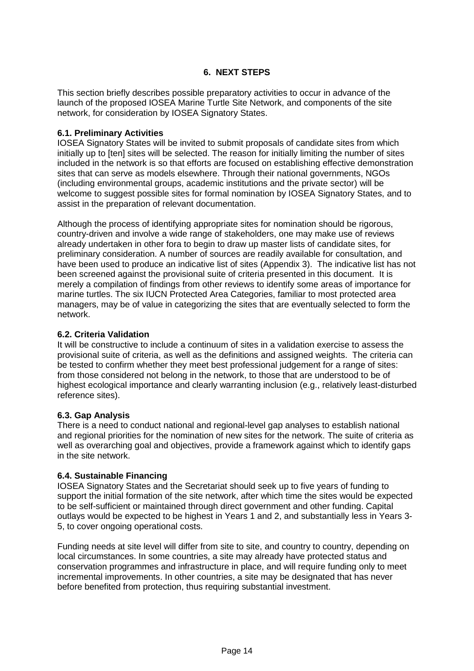#### **6. NEXT STEPS**

This section briefly describes possible preparatory activities to occur in advance of the launch of the proposed IOSEA Marine Turtle Site Network, and components of the site network, for consideration by IOSEA Signatory States.

#### **6.1. Preliminary Activities**

IOSEA Signatory States will be invited to submit proposals of candidate sites from which initially up to [ten] sites will be selected. The reason for initially limiting the number of sites included in the network is so that efforts are focused on establishing effective demonstration sites that can serve as models elsewhere. Through their national governments, NGOs (including environmental groups, academic institutions and the private sector) will be welcome to suggest possible sites for formal nomination by IOSEA Signatory States, and to assist in the preparation of relevant documentation.

Although the process of identifying appropriate sites for nomination should be rigorous, country-driven and involve a wide range of stakeholders, one may make use of reviews already undertaken in other fora to begin to draw up master lists of candidate sites, for preliminary consideration. A number of sources are readily available for consultation, and have been used to produce an indicative list of sites (Appendix 3). The indicative list has not been screened against the provisional suite of criteria presented in this document. It is merely a compilation of findings from other reviews to identify some areas of importance for marine turtles. The six IUCN Protected Area Categories, familiar to most protected area managers, may be of value in categorizing the sites that are eventually selected to form the network.

#### **6.2. Criteria Validation**

It will be constructive to include a continuum of sites in a validation exercise to assess the provisional suite of criteria, as well as the definitions and assigned weights. The criteria can be tested to confirm whether they meet best professional judgement for a range of sites: from those considered not belong in the network, to those that are understood to be of highest ecological importance and clearly warranting inclusion (e.g., relatively least-disturbed reference sites).

#### **6.3. Gap Analysis**

There is a need to conduct national and regional-level gap analyses to establish national and regional priorities for the nomination of new sites for the network. The suite of criteria as well as overarching goal and objectives, provide a framework against which to identify gaps in the site network.

#### **6.4. Sustainable Financing**

IOSEA Signatory States and the Secretariat should seek up to five years of funding to support the initial formation of the site network, after which time the sites would be expected to be self-sufficient or maintained through direct government and other funding. Capital outlays would be expected to be highest in Years 1 and 2, and substantially less in Years 3- 5, to cover ongoing operational costs.

Funding needs at site level will differ from site to site, and country to country, depending on local circumstances. In some countries, a site may already have protected status and conservation programmes and infrastructure in place, and will require funding only to meet incremental improvements. In other countries, a site may be designated that has never before benefited from protection, thus requiring substantial investment.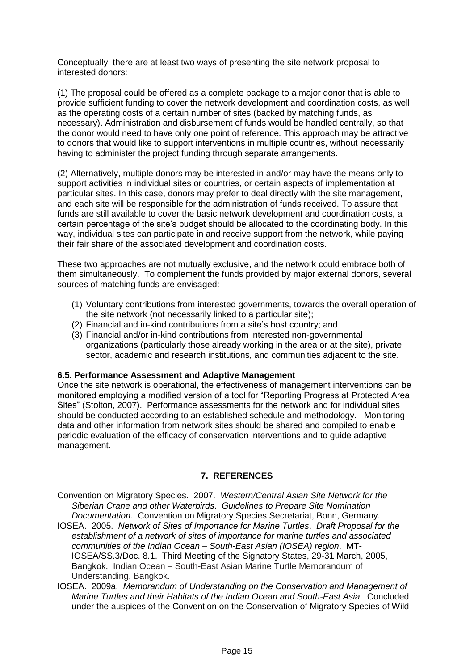Conceptually, there are at least two ways of presenting the site network proposal to interested donors:

(1) The proposal could be offered as a complete package to a major donor that is able to provide sufficient funding to cover the network development and coordination costs, as well as the operating costs of a certain number of sites (backed by matching funds, as necessary). Administration and disbursement of funds would be handled centrally, so that the donor would need to have only one point of reference. This approach may be attractive to donors that would like to support interventions in multiple countries, without necessarily having to administer the project funding through separate arrangements.

(2) Alternatively, multiple donors may be interested in and/or may have the means only to support activities in individual sites or countries, or certain aspects of implementation at particular sites. In this case, donors may prefer to deal directly with the site management, and each site will be responsible for the administration of funds received. To assure that funds are still available to cover the basic network development and coordination costs, a certain percentage of the site's budget should be allocated to the coordinating body. In this way, individual sites can participate in and receive support from the network, while paying their fair share of the associated development and coordination costs.

These two approaches are not mutually exclusive, and the network could embrace both of them simultaneously. To complement the funds provided by major external donors, several sources of matching funds are envisaged:

- (1) Voluntary contributions from interested governments, towards the overall operation of the site network (not necessarily linked to a particular site);
- (2) Financial and in-kind contributions from a site's host country; and
- (3) Financial and/or in-kind contributions from interested non-governmental organizations (particularly those already working in the area or at the site), private sector, academic and research institutions, and communities adjacent to the site.

#### **6.5. Performance Assessment and Adaptive Management**

Once the site network is operational, the effectiveness of management interventions can be monitored employing a modified version of a tool for "Reporting Progress at Protected Area Sites" (Stolton, 2007). Performance assessments for the network and for individual sites should be conducted according to an established schedule and methodology. Monitoring data and other information from network sites should be shared and compiled to enable periodic evaluation of the efficacy of conservation interventions and to guide adaptive management.

#### **7. REFERENCES**

- Convention on Migratory Species. 2007. *Western/Central Asian Site Network for the Siberian Crane and other Waterbirds*. *Guidelines to Prepare Site Nomination Documentation*. Convention on Migratory Species Secretariat, Bonn, Germany.
- IOSEA. 2005. *Network of Sites of Importance for Marine Turtles*. *Draft Proposal for the establishment of a network of sites of importance for marine turtles and associated communities of the Indian Ocean – South-East Asian (IOSEA) region*. MT-IOSEA/SS.3/Doc. 8.1. Third Meeting of the Signatory States, 29-31 March, 2005, Bangkok. Indian Ocean – South-East Asian Marine Turtle Memorandum of Understanding, Bangkok.
- IOSEA. 2009a. *Memorandum of Understanding on the Conservation and Management of Marine Turtles and their Habitats of the Indian Ocean and South-East Asia*. Concluded under the auspices of the Convention on the Conservation of Migratory Species of Wild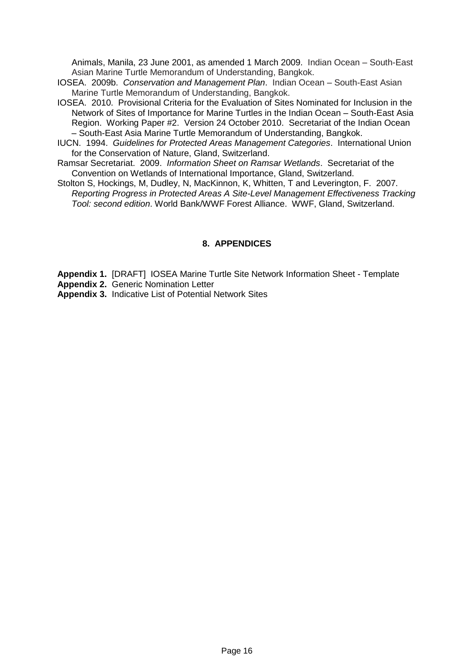Animals, Manila, 23 June 2001, as amended 1 March 2009. Indian Ocean – South-East Asian Marine Turtle Memorandum of Understanding, Bangkok.

- IOSEA. 2009b. *Conservation and Management Plan*. Indian Ocean South-East Asian Marine Turtle Memorandum of Understanding, Bangkok.
- IOSEA. 2010. Provisional Criteria for the Evaluation of Sites Nominated for Inclusion in the Network of Sites of Importance for Marine Turtles in the Indian Ocean – South-East Asia Region. Working Paper #2. Version 24 October 2010. Secretariat of the Indian Ocean – South-East Asia Marine Turtle Memorandum of Understanding, Bangkok.
- IUCN. 1994. *Guidelines for Protected Areas Management Categories*. International Union for the Conservation of Nature, Gland, Switzerland.
- Ramsar Secretariat. 2009. *Information Sheet on Ramsar Wetlands*. Secretariat of the Convention on Wetlands of International Importance, Gland, Switzerland.
- Stolton S, Hockings, M, Dudley, N, MacKinnon, K, Whitten, T and Leverington, F. 2007. *Reporting Progress in Protected Areas A Site-Level Management Effectiveness Tracking Tool: second edition*. World Bank/WWF Forest Alliance. WWF, Gland, Switzerland.

#### **8. APPENDICES**

**Appendix 1.** [DRAFT] IOSEA Marine Turtle Site Network Information Sheet - Template

- **Appendix 2.** Generic Nomination Letter
- **Appendix 3.** Indicative List of Potential Network Sites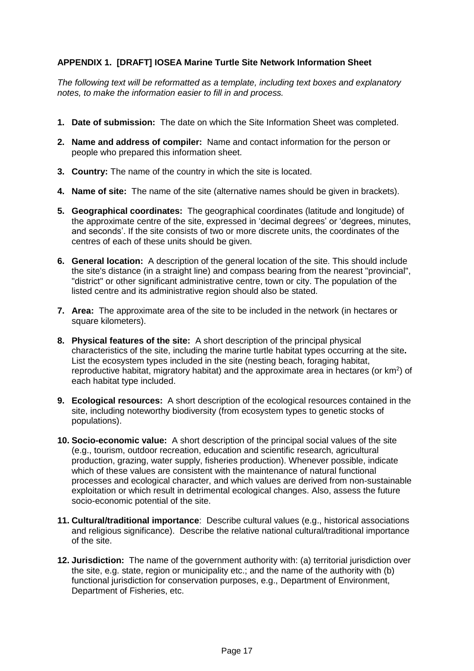## **APPENDIX 1. [DRAFT] IOSEA Marine Turtle Site Network Information Sheet**

*The following text will be reformatted as a template, including text boxes and explanatory notes, to make the information easier to fill in and process.* 

- **1. Date of submission:** The date on which the Site Information Sheet was completed.
- **2. Name and address of compiler:** Name and contact information for the person or people who prepared this information sheet.
- **3. Country:** The name of the country in which the site is located.
- **4. Name of site:** The name of the site (alternative names should be given in brackets).
- **5. Geographical coordinates:** The geographical coordinates (latitude and longitude) of the approximate centre of the site, expressed in 'decimal degrees' or 'degrees, minutes, and seconds'. If the site consists of two or more discrete units, the coordinates of the centres of each of these units should be given.
- **6. General location:** A description of the general location of the site. This should include the site's distance (in a straight line) and compass bearing from the nearest "provincial", "district" or other significant administrative centre, town or city. The population of the listed centre and its administrative region should also be stated.
- **7. Area:** The approximate area of the site to be included in the network (in hectares or square kilometers).
- **8. Physical features of the site:** A short description of the principal physical characteristics of the site, including the marine turtle habitat types occurring at the site**.**  List the ecosystem types included in the site (nesting beach, foraging habitat, reproductive habitat, migratory habitat) and the approximate area in hectares (or  $km<sup>2</sup>$ ) of each habitat type included.
- **9. Ecological resources:** A short description of the ecological resources contained in the site, including noteworthy biodiversity (from ecosystem types to genetic stocks of populations).
- **10. Socio-economic value:** A short description of the principal social values of the site (e.g., tourism, outdoor recreation, education and scientific research, agricultural production, grazing, water supply, fisheries production). Whenever possible, indicate which of these values are consistent with the maintenance of natural functional processes and ecological character, and which values are derived from non-sustainable exploitation or which result in detrimental ecological changes. Also, assess the future socio-economic potential of the site.
- **11. Cultural/traditional importance**: Describe cultural values (e.g., historical associations and religious significance). Describe the relative national cultural/traditional importance of the site.
- **12. Jurisdiction:** The name of the government authority with: (a) territorial jurisdiction over the site, e.g. state, region or municipality etc.; and the name of the authority with (b) functional jurisdiction for conservation purposes, e.g., Department of Environment, Department of Fisheries, etc.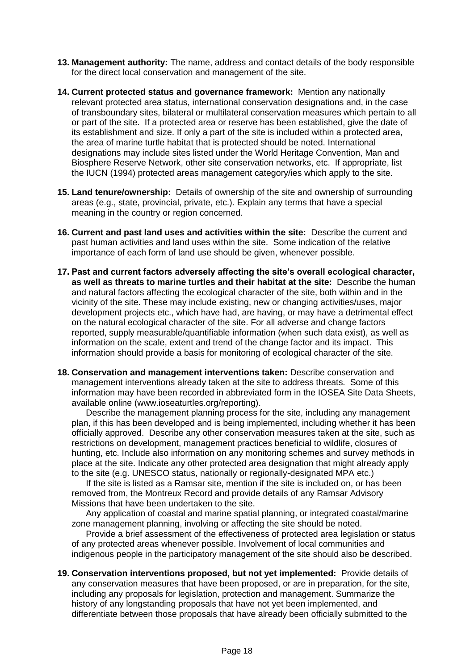- **13. Management authority:** The name, address and contact details of the body responsible for the direct local conservation and management of the site.
- **14. Current protected status and governance framework:** Mention any nationally relevant protected area status, international conservation designations and, in the case of transboundary sites, bilateral or multilateral conservation measures which pertain to all or part of the site. If a protected area or reserve has been established, give the date of its establishment and size. If only a part of the site is included within a protected area, the area of marine turtle habitat that is protected should be noted. International designations may include sites listed under the World Heritage Convention, Man and Biosphere Reserve Network, other site conservation networks, etc. If appropriate, list the IUCN (1994) protected areas management category/ies which apply to the site.
- **15. Land tenure/ownership:** Details of ownership of the site and ownership of surrounding areas (e.g., state, provincial, private, etc.). Explain any terms that have a special meaning in the country or region concerned.
- **16. Current and past land uses and activities within the site:** Describe the current and past human activities and land uses within the site. Some indication of the relative importance of each form of land use should be given, whenever possible.
- **17. Past and current factors adversely affecting the site's overall ecological character, as well as threats to marine turtles and their habitat at the site:** Describe the human and natural factors affecting the ecological character of the site, both within and in the vicinity of the site. These may include existing, new or changing activities/uses, major development projects etc., which have had, are having, or may have a detrimental effect on the natural ecological character of the site. For all adverse and change factors reported, supply measurable/quantifiable information (when such data exist), as well as information on the scale, extent and trend of the change factor and its impact. This information should provide a basis for monitoring of ecological character of the site.
- **18. Conservation and management interventions taken:** Describe conservation and management interventions already taken at the site to address threats. Some of this information may have been recorded in abbreviated form in the IOSEA Site Data Sheets, available online (www.ioseaturtles.org/reporting).

Describe the management planning process for the site, including any management plan, if this has been developed and is being implemented, including whether it has been officially approved. Describe any other conservation measures taken at the site, such as restrictions on development, management practices beneficial to wildlife, closures of hunting, etc. Include also information on any monitoring schemes and survey methods in place at the site. Indicate any other protected area designation that might already apply to the site (e.g. UNESCO status, nationally or regionally-designated MPA etc.)

If the site is listed as a Ramsar site, mention if the site is included on, or has been removed from, the Montreux Record and provide details of any Ramsar Advisory Missions that have been undertaken to the site.

Any application of coastal and marine spatial planning, or integrated coastal/marine zone management planning, involving or affecting the site should be noted.

Provide a brief assessment of the effectiveness of protected area legislation or status of any protected areas whenever possible. Involvement of local communities and indigenous people in the participatory management of the site should also be described.

**19. Conservation interventions proposed, but not yet implemented:** Provide details of any conservation measures that have been proposed, or are in preparation, for the site, including any proposals for legislation, protection and management. Summarize the history of any longstanding proposals that have not yet been implemented, and differentiate between those proposals that have already been officially submitted to the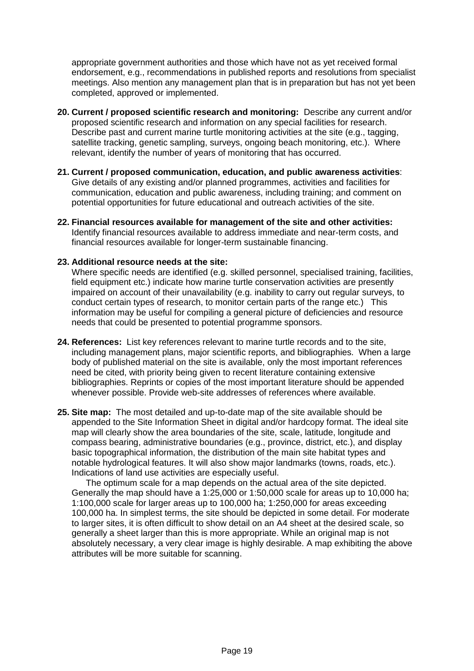appropriate government authorities and those which have not as yet received formal endorsement, e.g., recommendations in published reports and resolutions from specialist meetings. Also mention any management plan that is in preparation but has not yet been completed, approved or implemented.

- **20. Current / proposed scientific research and monitoring:** Describe any current and/or proposed scientific research and information on any special facilities for research. Describe past and current marine turtle monitoring activities at the site (e.g., tagging, satellite tracking, genetic sampling, surveys, ongoing beach monitoring, etc.). Where relevant, identify the number of years of monitoring that has occurred.
- **21. Current / proposed communication, education, and public awareness activities**: Give details of any existing and/or planned programmes, activities and facilities for communication, education and public awareness, including training; and comment on potential opportunities for future educational and outreach activities of the site.
- **22. Financial resources available for management of the site and other activities:**  Identify financial resources available to address immediate and near-term costs, and financial resources available for longer-term sustainable financing.

#### **23. Additional resource needs at the site:**

Where specific needs are identified (e.g. skilled personnel, specialised training, facilities, field equipment etc.) indicate how marine turtle conservation activities are presently impaired on account of their unavailability (e.g. inability to carry out regular surveys, to conduct certain types of research, to monitor certain parts of the range etc.) This information may be useful for compiling a general picture of deficiencies and resource needs that could be presented to potential programme sponsors.

- **24. References:** List key references relevant to marine turtle records and to the site, including management plans, major scientific reports, and bibliographies. When a large body of published material on the site is available, only the most important references need be cited, with priority being given to recent literature containing extensive bibliographies. Reprints or copies of the most important literature should be appended whenever possible. Provide web-site addresses of references where available.
- **25. Site map:** The most detailed and up-to-date map of the site available should be appended to the Site Information Sheet in digital and/or hardcopy format. The ideal site map will clearly show the area boundaries of the site, scale, latitude, longitude and compass bearing, administrative boundaries (e.g., province, district, etc.), and display basic topographical information, the distribution of the main site habitat types and notable hydrological features. It will also show major landmarks (towns, roads, etc.). Indications of land use activities are especially useful.

The optimum scale for a map depends on the actual area of the site depicted. Generally the map should have a 1:25,000 or 1:50,000 scale for areas up to 10,000 ha; 1:100,000 scale for larger areas up to 100,000 ha; 1:250,000 for areas exceeding 100,000 ha. In simplest terms, the site should be depicted in some detail. For moderate to larger sites, it is often difficult to show detail on an A4 sheet at the desired scale, so generally a sheet larger than this is more appropriate. While an original map is not absolutely necessary, a very clear image is highly desirable. A map exhibiting the above attributes will be more suitable for scanning.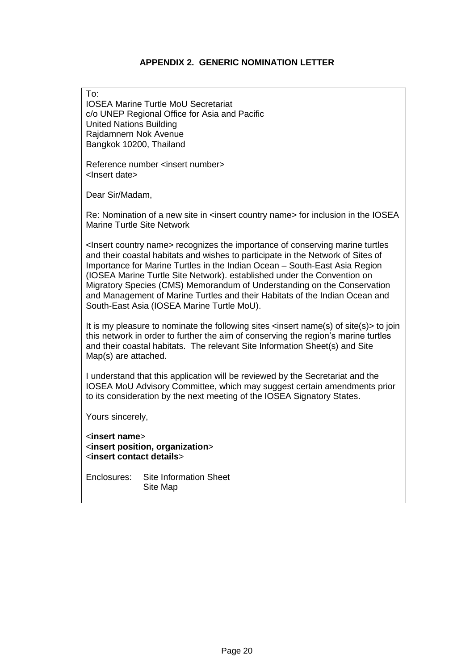## **APPENDIX 2. GENERIC NOMINATION LETTER**

| To:<br><b>IOSEA Marine Turtle MoU Secretariat</b><br>c/o UNEP Regional Office for Asia and Pacific<br><b>United Nations Building</b><br>Rajdamnern Nok Avenue<br>Bangkok 10200, Thailand                                                                                                                                                                                                                                                                                                                                                              |  |  |  |
|-------------------------------------------------------------------------------------------------------------------------------------------------------------------------------------------------------------------------------------------------------------------------------------------------------------------------------------------------------------------------------------------------------------------------------------------------------------------------------------------------------------------------------------------------------|--|--|--|
| Reference number <insert number=""><br/><lnsert date=""></lnsert></insert>                                                                                                                                                                                                                                                                                                                                                                                                                                                                            |  |  |  |
| Dear Sir/Madam,                                                                                                                                                                                                                                                                                                                                                                                                                                                                                                                                       |  |  |  |
| Re: Nomination of a new site in <insert country="" name=""> for inclusion in the IOSEA<br/><b>Marine Turtle Site Network</b></insert>                                                                                                                                                                                                                                                                                                                                                                                                                 |  |  |  |
| <lnsert country="" name=""> recognizes the importance of conserving marine turtles<br/>and their coastal habitats and wishes to participate in the Network of Sites of<br/>Importance for Marine Turtles in the Indian Ocean - South-East Asia Region<br/>(IOSEA Marine Turtle Site Network). established under the Convention on<br/>Migratory Species (CMS) Memorandum of Understanding on the Conservation<br/>and Management of Marine Turtles and their Habitats of the Indian Ocean and<br/>South-East Asia (IOSEA Marine Turtle MoU).</lnsert> |  |  |  |
| It is my pleasure to nominate the following sites <insert name(s)="" of="" site(s)=""> to join<br/>this network in order to further the aim of conserving the region's marine turtles<br/>and their coastal habitats. The relevant Site Information Sheet(s) and Site<br/>Map(s) are attached.</insert>                                                                                                                                                                                                                                               |  |  |  |
| I understand that this application will be reviewed by the Secretariat and the<br>IOSEA MoU Advisory Committee, which may suggest certain amendments prior<br>to its consideration by the next meeting of the IOSEA Signatory States.                                                                                                                                                                                                                                                                                                                 |  |  |  |
| Yours sincerely,                                                                                                                                                                                                                                                                                                                                                                                                                                                                                                                                      |  |  |  |
| <insert name=""><br/><insert organization="" position,=""><br/><insert contact="" details=""></insert></insert></insert>                                                                                                                                                                                                                                                                                                                                                                                                                              |  |  |  |
| <b>Site Information Sheet</b><br>Enclosures:<br>Site Map                                                                                                                                                                                                                                                                                                                                                                                                                                                                                              |  |  |  |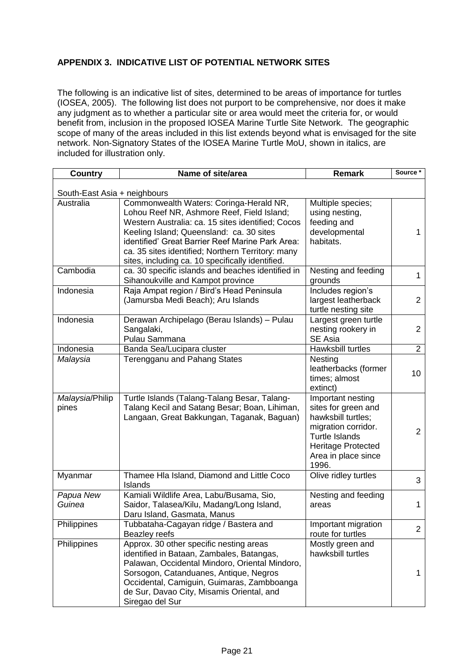## **APPENDIX 3. INDICATIVE LIST OF POTENTIAL NETWORK SITES**

The following is an indicative list of sites, determined to be areas of importance for turtles (IOSEA, 2005). The following list does not purport to be comprehensive, nor does it make any judgment as to whether a particular site or area would meet the criteria for, or would benefit from, inclusion in the proposed IOSEA Marine Turtle Site Network. The geographic scope of many of the areas included in this list extends beyond what is envisaged for the site network. Non-Signatory States of the IOSEA Marine Turtle MoU, shown in italics, are included for illustration only.

| <b>Country</b>               | Name of site/area                                                                                                                                                                                                                                                                                                                                   | <b>Remark</b>                                                                                                                                                        | Source *        |  |  |
|------------------------------|-----------------------------------------------------------------------------------------------------------------------------------------------------------------------------------------------------------------------------------------------------------------------------------------------------------------------------------------------------|----------------------------------------------------------------------------------------------------------------------------------------------------------------------|-----------------|--|--|
| South-East Asia + neighbours |                                                                                                                                                                                                                                                                                                                                                     |                                                                                                                                                                      |                 |  |  |
| Australia                    | Commonwealth Waters: Coringa-Herald NR,<br>Lohou Reef NR, Ashmore Reef, Field Island;<br>Western Australia: ca. 15 sites identified; Cocos<br>Keeling Island; Queensland: ca. 30 sites<br>identified' Great Barrier Reef Marine Park Area:<br>ca. 35 sites identified; Northern Territory: many<br>sites, including ca. 10 specifically identified. | Multiple species;<br>using nesting,<br>feeding and<br>developmental<br>habitats.                                                                                     | 1               |  |  |
| Cambodia                     | ca. 30 specific islands and beaches identified in<br>Sihanoukville and Kampot province                                                                                                                                                                                                                                                              | Nesting and feeding<br>grounds                                                                                                                                       | 1               |  |  |
| Indonesia                    | Raja Ampat region / Bird's Head Peninsula<br>(Jamursba Medi Beach); Aru Islands                                                                                                                                                                                                                                                                     | Includes region's<br>largest leatherback<br>turtle nesting site                                                                                                      | $\overline{2}$  |  |  |
| Indonesia                    | Derawan Archipelago (Berau Islands) - Pulau<br>Sangalaki,<br>Pulau Sammana                                                                                                                                                                                                                                                                          | Largest green turtle<br>nesting rookery in<br>SE Asia                                                                                                                | $\overline{2}$  |  |  |
| Indonesia                    | Banda Sea/Lucipara cluster                                                                                                                                                                                                                                                                                                                          | Hawksbill turtles                                                                                                                                                    | $\overline{2}$  |  |  |
| Malaysia                     | Terengganu and Pahang States                                                                                                                                                                                                                                                                                                                        | Nesting<br>leatherbacks (former<br>times; almost<br>extinct)                                                                                                         | 10 <sup>°</sup> |  |  |
| Malaysia/Philip<br>pines     | Turtle Islands (Talang-Talang Besar, Talang-<br>Talang Kecil and Satang Besar; Boan, Lihiman,<br>Langaan, Great Bakkungan, Taganak, Baguan)                                                                                                                                                                                                         | Important nesting<br>sites for green and<br>hawksbill turtles;<br>migration corridor.<br><b>Turtle Islands</b><br>Heritage Protected<br>Area in place since<br>1996. | $\overline{2}$  |  |  |
| Myanmar                      | Thamee Hla Island, Diamond and Little Coco<br>Islands                                                                                                                                                                                                                                                                                               | Olive ridley turtles                                                                                                                                                 | 3               |  |  |
| Papua New<br>Guinea          | Kamiali Wildlife Area, Labu/Busama, Sio,<br>Saidor, Talasea/Kilu, Madang/Long Island,<br>Daru Island, Gasmata, Manus                                                                                                                                                                                                                                | Nesting and feeding<br>areas                                                                                                                                         | 1               |  |  |
| Philippines                  | Tubbataha-Cagayan ridge / Bastera and<br>Beazley reefs                                                                                                                                                                                                                                                                                              | Important migration<br>route for turtles                                                                                                                             | $\overline{2}$  |  |  |
| Philippines                  | Approx. 30 other specific nesting areas<br>identified in Bataan, Zambales, Batangas,<br>Palawan, Occidental Mindoro, Oriental Mindoro,<br>Sorsogon, Catanduanes, Antique, Negros<br>Occidental, Camiguin, Guimaras, Zambboanga<br>de Sur, Davao City, Misamis Oriental, and<br>Siregao del Sur                                                      | Mostly green and<br>hawksbill turtles                                                                                                                                | 1               |  |  |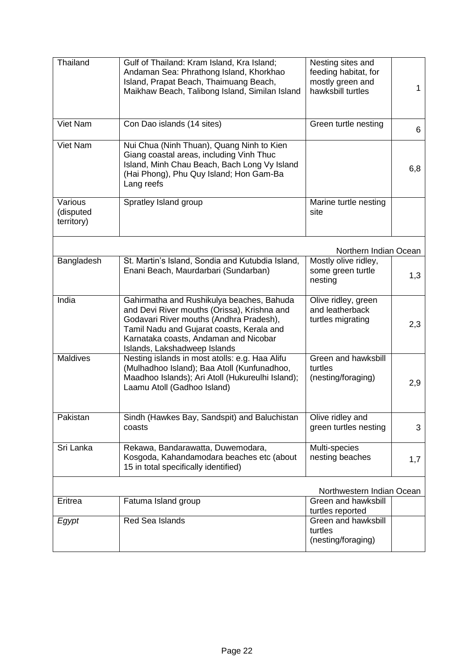| Thailand                           | Gulf of Thailand: Kram Island, Kra Island;<br>Andaman Sea: Phrathong Island, Khorkhao<br>Island, Prapat Beach, Thaimuang Beach,<br>Maikhaw Beach, Talibong Island, Similan Island                                                                         | Nesting sites and<br>feeding habitat, for<br>mostly green and<br>hawksbill turtles | 1   |  |  |
|------------------------------------|-----------------------------------------------------------------------------------------------------------------------------------------------------------------------------------------------------------------------------------------------------------|------------------------------------------------------------------------------------|-----|--|--|
| Viet Nam                           | Con Dao islands (14 sites)                                                                                                                                                                                                                                | Green turtle nesting                                                               | 6   |  |  |
| Viet Nam                           | Nui Chua (Ninh Thuan), Quang Ninh to Kien<br>Giang coastal areas, including Vinh Thuc<br>Island, Minh Chau Beach, Bach Long Vy Island<br>(Hai Phong), Phu Quy Island; Hon Gam-Ba<br>Lang reefs                                                            |                                                                                    | 6,8 |  |  |
| Various<br>(disputed<br>territory) | Spratley Island group                                                                                                                                                                                                                                     | Marine turtle nesting<br>site                                                      |     |  |  |
|                                    |                                                                                                                                                                                                                                                           | Northern Indian Ocean                                                              |     |  |  |
| Bangladesh                         | St. Martin's Island, Sondia and Kutubdia Island,<br>Enani Beach, Maurdarbari (Sundarban)                                                                                                                                                                  | Mostly olive ridley,<br>some green turtle<br>nesting                               | 1,3 |  |  |
| India                              | Gahirmatha and Rushikulya beaches, Bahuda<br>and Devi River mouths (Orissa), Krishna and<br>Godavari River mouths (Andhra Pradesh),<br>Tamil Nadu and Gujarat coasts, Kerala and<br>Karnataka coasts, Andaman and Nicobar<br>Islands, Lakshadweep Islands | Olive ridley, green<br>and leatherback<br>turtles migrating                        | 2,3 |  |  |
| <b>Maldives</b>                    | Nesting islands in most atolls: e.g. Haa Alifu<br>(Mulhadhoo Island); Baa Atoll (Kunfunadhoo,<br>Maadhoo Islands); Ari Atoll (Hukureulhi Island);<br>Laamu Atoll (Gadhoo Island)                                                                          | Green and hawksbill<br>turtles<br>(nesting/foraging)                               | 2,9 |  |  |
| Pakistan                           | Sindh (Hawkes Bay, Sandspit) and Baluchistan<br>coasts                                                                                                                                                                                                    | Olive ridley and<br>green turtles nesting                                          | 3   |  |  |
| Sri Lanka                          | Rekawa, Bandarawatta, Duwemodara,<br>Kosgoda, Kahandamodara beaches etc (about<br>15 in total specifically identified)                                                                                                                                    | Multi-species<br>nesting beaches                                                   | 1,7 |  |  |
|                                    | Northwestern Indian Ocean                                                                                                                                                                                                                                 |                                                                                    |     |  |  |
| Eritrea                            | Fatuma Island group                                                                                                                                                                                                                                       | Green and hawksbill<br>turtles reported                                            |     |  |  |
| Egypt                              | Red Sea Islands                                                                                                                                                                                                                                           | Green and hawksbill<br>turtles<br>(nesting/foraging)                               |     |  |  |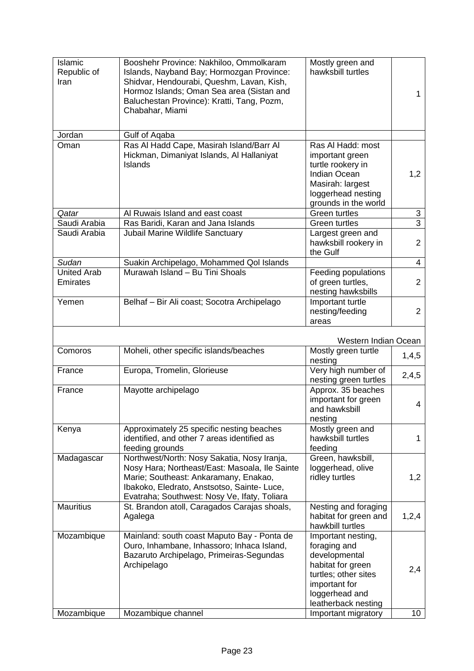| <b>Islamic</b><br>Republic of<br>Iran | Booshehr Province: Nakhiloo, Ommolkaram<br>Islands, Nayband Bay; Hormozgan Province:<br>Shidvar, Hendourabi, Queshm, Lavan, Kish,<br>Hormoz Islands; Oman Sea area (Sistan and<br>Baluchestan Province): Kratti, Tang, Pozm,<br>Chabahar, Miami | Mostly green and<br>hawksbill turtles                                                                                                                                             | 1                      |
|---------------------------------------|-------------------------------------------------------------------------------------------------------------------------------------------------------------------------------------------------------------------------------------------------|-----------------------------------------------------------------------------------------------------------------------------------------------------------------------------------|------------------------|
| Jordan                                | Gulf of Aqaba                                                                                                                                                                                                                                   |                                                                                                                                                                                   |                        |
| Oman                                  | Ras Al Hadd Cape, Masirah Island/Barr Al<br>Hickman, Dimaniyat Islands, Al Hallaniyat<br>Islands                                                                                                                                                | Ras Al Hadd: most<br>important green<br>turtle rookery in<br><b>Indian Ocean</b><br>Masirah: largest<br>loggerhead nesting<br>grounds in the world                                | 1,2                    |
| Qatar                                 | Al Ruwais Island and east coast                                                                                                                                                                                                                 | <b>Green turtles</b>                                                                                                                                                              | 3                      |
| Saudi Arabia                          | Ras Baridi, Karan and Jana Islands                                                                                                                                                                                                              | <b>Green turtles</b>                                                                                                                                                              | $\overline{3}$         |
| Saudi Arabia                          | Jubail Marine Wildlife Sanctuary                                                                                                                                                                                                                | Largest green and<br>hawksbill rookery in<br>the Gulf                                                                                                                             | $\overline{2}$         |
| Sudan                                 | Suakin Archipelago, Mohammed Qol Islands                                                                                                                                                                                                        |                                                                                                                                                                                   | $\overline{4}$         |
| <b>United Arab</b><br>Emirates        | Murawah Island - Bu Tini Shoals                                                                                                                                                                                                                 | Feeding populations<br>of green turtles,<br>nesting hawksbills                                                                                                                    | $\overline{2}$         |
| Yemen                                 | Belhaf - Bir Ali coast; Socotra Archipelago                                                                                                                                                                                                     | Important turtle<br>nesting/feeding<br>areas                                                                                                                                      | $\overline{2}$         |
|                                       |                                                                                                                                                                                                                                                 | Western Indian Ocean                                                                                                                                                              |                        |
| Comoros                               | Moheli, other specific islands/beaches                                                                                                                                                                                                          | Mostly green turtle<br>nesting                                                                                                                                                    | 1,4,5                  |
| France                                | Europa, Tromelin, Glorieuse                                                                                                                                                                                                                     | Very high number of<br>nesting green turtles                                                                                                                                      | 2,4,5                  |
| France                                | Mayotte archipelago                                                                                                                                                                                                                             | Approx. 35 beaches<br>important for green<br>and hawksbill<br>nesting                                                                                                             | 4                      |
| Kenya                                 | Approximately 25 specific nesting beaches<br>identified, and other 7 areas identified as<br>feeding grounds                                                                                                                                     | Mostly green and<br>hawksbill turtles<br>feeding                                                                                                                                  | 1                      |
| Madagascar                            | Northwest/North: Nosy Sakatia, Nosy Iranja,<br>Nosy Hara; Northeast/East: Masoala, Ile Sainte<br>Marie; Southeast: Ankaramany, Enakao,<br>Ibakoko, Eledrato, Anstsotso, Sainte- Luce,<br>Evatraha; Southwest: Nosy Ve, Ifaty, Toliara           | Green, hawksbill,<br>loggerhead, olive<br>ridley turtles                                                                                                                          | 1,2                    |
| <b>Mauritius</b>                      | St. Brandon atoll, Caragados Carajas shoals,<br>Agalega                                                                                                                                                                                         | Nesting and foraging<br>habitat for green and<br>hawkbill turtles                                                                                                                 | 1,2,4                  |
| Mozambique<br>Mozambique              | Mainland: south coast Maputo Bay - Ponta de<br>Ouro, Inhambane, Inhassoro; Inhaca Island,<br>Bazaruto Archipelago, Primeiras-Segundas<br>Archipelago<br>Mozambique channel                                                                      | Important nesting,<br>foraging and<br>developmental<br>habitat for green<br>turtles; other sites<br>important for<br>loggerhead and<br>leatherback nesting<br>Important migratory | 2,4<br>10 <sup>°</sup> |
|                                       |                                                                                                                                                                                                                                                 |                                                                                                                                                                                   |                        |